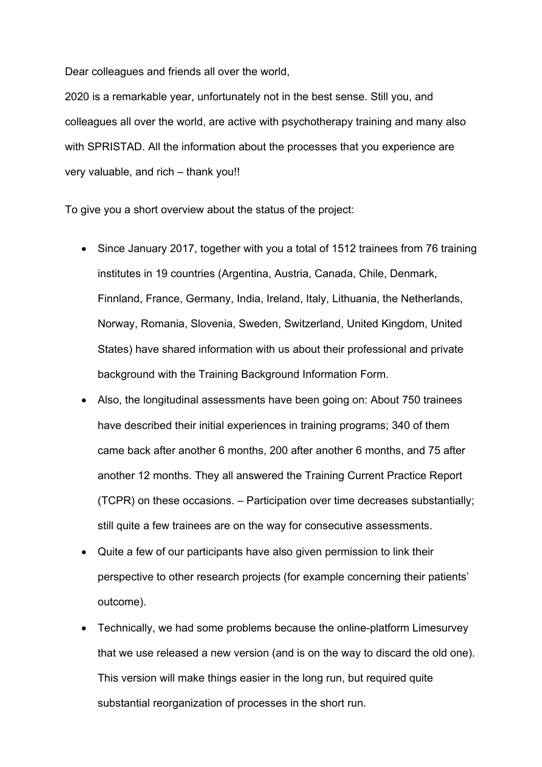Dear colleagues and friends all over the world,

2020 is a remarkable year, unfortunately not in the best sense. Still you, and colleagues all over the world, are active with psychotherapy training and many also with SPRISTAD. All the information about the processes that you experience are very valuable, and rich – thank you!!

To give you a short overview about the status of the project:

- Since January 2017, together with you a total of 1512 trainees from 76 training institutes in 19 countries (Argentina, Austria, Canada, Chile, Denmark, Finnland, France, Germany, India, Ireland, Italy, Lithuania, the Netherlands, Norway, Romania, Slovenia, Sweden, Switzerland, United Kingdom, United States) have shared information with us about their professional and private background with the Training Background Information Form.
- Also, the longitudinal assessments have been going on: About 750 trainees have described their initial experiences in training programs; 340 of them came back after another 6 months, 200 after another 6 months, and 75 after another 12 months. They all answered the Training Current Practice Report (TCPR) on these occasions. – Participation over time decreases substantially; still quite a few trainees are on the way for consecutive assessments.
- Quite a few of our participants have also given permission to link their perspective to other research projects (for example concerning their patients' outcome).
- Technically, we had some problems because the online-platform Limesurvey that we use released a new version (and is on the way to discard the old one). This version will make things easier in the long run, but required quite substantial reorganization of processes in the short run.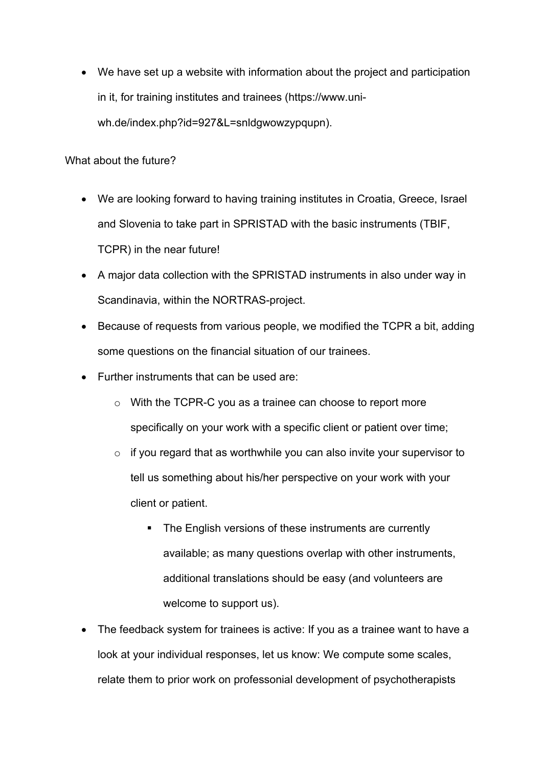• We have set up a website with information about the project and participation in it, for training institutes and trainees (https://www.uniwh.de/index.php?id=927&L=snldgwowzypqupn).

What about the future?

- We are looking forward to having training institutes in Croatia, Greece, Israel and Slovenia to take part in SPRISTAD with the basic instruments (TBIF, TCPR) in the near future!
- A major data collection with the SPRISTAD instruments in also under way in Scandinavia, within the NORTRAS-project.
- Because of requests from various people, we modified the TCPR a bit, adding some questions on the financial situation of our trainees.
- Further instruments that can be used are:
	- o With the TCPR-C you as a trainee can choose to report more specifically on your work with a specific client or patient over time;
	- $\circ$  if you regard that as worthwhile you can also invite your supervisor to tell us something about his/her perspective on your work with your client or patient.
		- The English versions of these instruments are currently available; as many questions overlap with other instruments, additional translations should be easy (and volunteers are welcome to support us).
- The feedback system for trainees is active: If you as a trainee want to have a look at your individual responses, let us know: We compute some scales, relate them to prior work on professonial development of psychotherapists